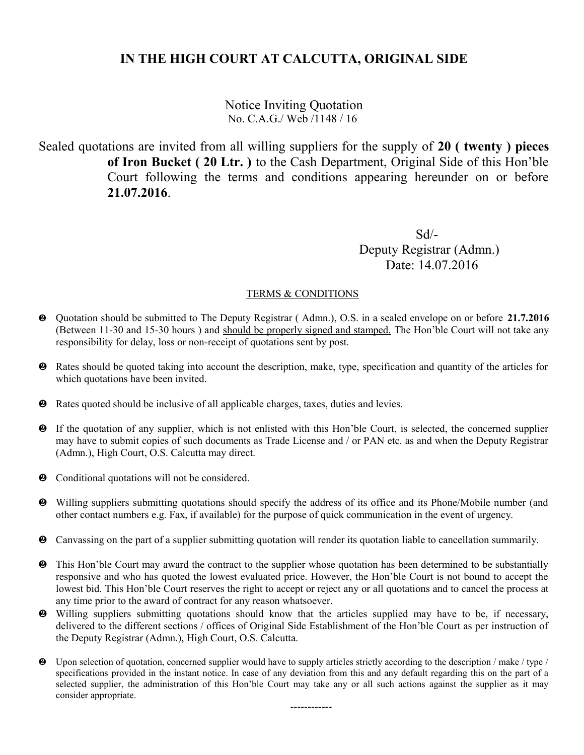Notice Inviting Quotation No. C.A.G./ Web /1148 / 16

Sealed quotations are invited from all willing suppliers for the supply of **20 ( twenty ) pieces of Iron Bucket ( 20 Ltr. )** to the Cash Department, Original Side of this Hon'ble Court following the terms and conditions appearing hereunder on or before **21.07.2016**.

 Sd/- Deputy Registrar (Admn.) Date: 14.07.2016

#### TERMS & CONDITIONS

- Quotation should be submitted to The Deputy Registrar ( Admn.), O.S. in a sealed envelope on or before **21.7.2016** (Between 11-30 and 15-30 hours ) and should be properly signed and stamped. The Hon'ble Court will not take any responsibility for delay, loss or non-receipt of quotations sent by post.
- Rates should be quoted taking into account the description, make, type, specification and quantity of the articles for which quotations have been invited.
- Rates quoted should be inclusive of all applicable charges, taxes, duties and levies.
- If the quotation of any supplier, which is not enlisted with this Hon'ble Court, is selected, the concerned supplier may have to submit copies of such documents as Trade License and / or PAN etc. as and when the Deputy Registrar (Admn.), High Court, O.S. Calcutta may direct.
- $\bullet$  Conditional quotations will not be considered.
- Willing suppliers submitting quotations should specify the address of its office and its Phone/Mobile number (and other contact numbers e.g. Fax, if available) for the purpose of quick communication in the event of urgency.
- Canvassing on the part of a supplier submitting quotation will render its quotation liable to cancellation summarily.
- $\bullet$  This Hon'ble Court may award the contract to the supplier whose quotation has been determined to be substantially responsive and who has quoted the lowest evaluated price. However, the Hon'ble Court is not bound to accept the lowest bid. This Hon'ble Court reserves the right to accept or reject any or all quotations and to cancel the process at any time prior to the award of contract for any reason whatsoever.
- Willing suppliers submitting quotations should know that the articles supplied may have to be, if necessary, delivered to the different sections / offices of Original Side Establishment of the Hon'ble Court as per instruction of the Deputy Registrar (Admn.), High Court, O.S. Calcutta.
- Upon selection of quotation, concerned supplier would have to supply articles strictly according to the description / make / type / specifications provided in the instant notice. In case of any deviation from this and any default regarding this on the part of a selected supplier, the administration of this Hon'ble Court may take any or all such actions against the supplier as it may consider appropriate.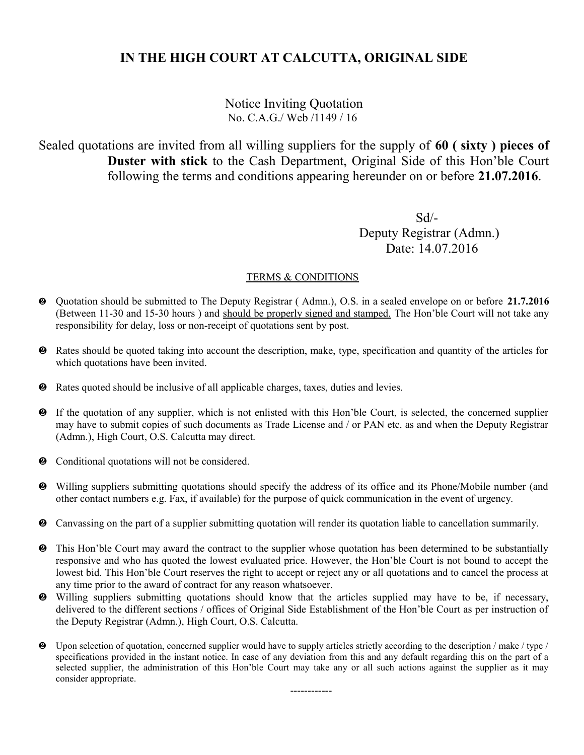Notice Inviting Quotation No. C.A.G./ Web /1149 / 16

Sealed quotations are invited from all willing suppliers for the supply of **60 ( sixty ) pieces of Duster with stick** to the Cash Department, Original Side of this Hon'ble Court following the terms and conditions appearing hereunder on or before **21.07.2016**.

 Sd/- Deputy Registrar (Admn.) Date: 14.07.2016

#### TERMS & CONDITIONS

- Quotation should be submitted to The Deputy Registrar ( Admn.), O.S. in a sealed envelope on or before **21.7.2016** (Between 11-30 and 15-30 hours ) and should be properly signed and stamped. The Hon'ble Court will not take any responsibility for delay, loss or non-receipt of quotations sent by post.
- Rates should be quoted taking into account the description, make, type, specification and quantity of the articles for which quotations have been invited.
- Rates quoted should be inclusive of all applicable charges, taxes, duties and levies.
- If the quotation of any supplier, which is not enlisted with this Hon'ble Court, is selected, the concerned supplier may have to submit copies of such documents as Trade License and / or PAN etc. as and when the Deputy Registrar (Admn.), High Court, O.S. Calcutta may direct.
- $\odot$  Conditional quotations will not be considered.
- Willing suppliers submitting quotations should specify the address of its office and its Phone/Mobile number (and other contact numbers e.g. Fax, if available) for the purpose of quick communication in the event of urgency.
- Canvassing on the part of a supplier submitting quotation will render its quotation liable to cancellation summarily.
- $\bullet$  This Hon'ble Court may award the contract to the supplier whose quotation has been determined to be substantially responsive and who has quoted the lowest evaluated price. However, the Hon'ble Court is not bound to accept the lowest bid. This Hon'ble Court reserves the right to accept or reject any or all quotations and to cancel the process at any time prior to the award of contract for any reason whatsoever.
- Willing suppliers submitting quotations should know that the articles supplied may have to be, if necessary, delivered to the different sections / offices of Original Side Establishment of the Hon'ble Court as per instruction of the Deputy Registrar (Admn.), High Court, O.S. Calcutta.
- Upon selection of quotation, concerned supplier would have to supply articles strictly according to the description / make / type / specifications provided in the instant notice. In case of any deviation from this and any default regarding this on the part of a selected supplier, the administration of this Hon'ble Court may take any or all such actions against the supplier as it may consider appropriate.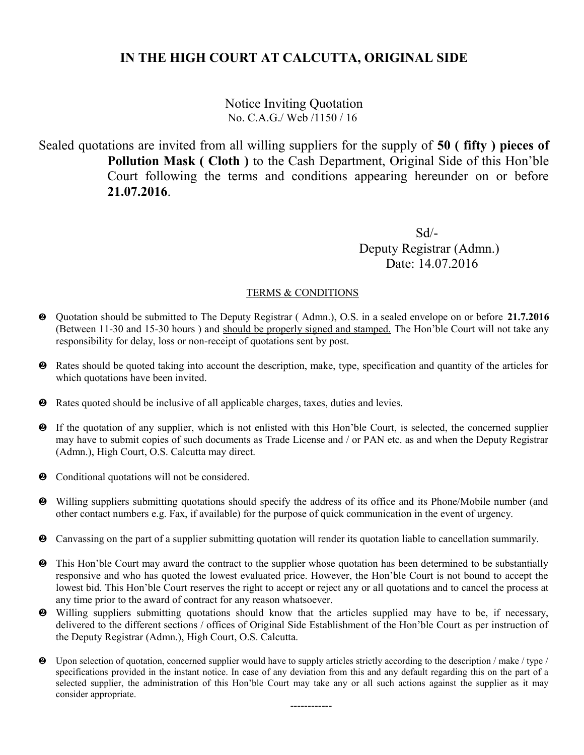Notice Inviting Quotation No. C.A.G./ Web /1150 / 16

Sealed quotations are invited from all willing suppliers for the supply of **50 ( fifty ) pieces of Pollution Mask ( Cloth )** to the Cash Department, Original Side of this Hon'ble Court following the terms and conditions appearing hereunder on or before **21.07.2016**.

 Sd/- Deputy Registrar (Admn.) Date: 14.07.2016

#### TERMS & CONDITIONS

- Quotation should be submitted to The Deputy Registrar ( Admn.), O.S. in a sealed envelope on or before **21.7.2016** (Between 11-30 and 15-30 hours ) and should be properly signed and stamped. The Hon'ble Court will not take any responsibility for delay, loss or non-receipt of quotations sent by post.
- Rates should be quoted taking into account the description, make, type, specification and quantity of the articles for which quotations have been invited.
- Rates quoted should be inclusive of all applicable charges, taxes, duties and levies.
- If the quotation of any supplier, which is not enlisted with this Hon'ble Court, is selected, the concerned supplier may have to submit copies of such documents as Trade License and / or PAN etc. as and when the Deputy Registrar (Admn.), High Court, O.S. Calcutta may direct.
- $\bullet$  Conditional quotations will not be considered.
- Willing suppliers submitting quotations should specify the address of its office and its Phone/Mobile number (and other contact numbers e.g. Fax, if available) for the purpose of quick communication in the event of urgency.
- Canvassing on the part of a supplier submitting quotation will render its quotation liable to cancellation summarily.
- $\bullet$  This Hon'ble Court may award the contract to the supplier whose quotation has been determined to be substantially responsive and who has quoted the lowest evaluated price. However, the Hon'ble Court is not bound to accept the lowest bid. This Hon'ble Court reserves the right to accept or reject any or all quotations and to cancel the process at any time prior to the award of contract for any reason whatsoever.
- Willing suppliers submitting quotations should know that the articles supplied may have to be, if necessary, delivered to the different sections / offices of Original Side Establishment of the Hon'ble Court as per instruction of the Deputy Registrar (Admn.), High Court, O.S. Calcutta.
- Upon selection of quotation, concerned supplier would have to supply articles strictly according to the description / make / type / specifications provided in the instant notice. In case of any deviation from this and any default regarding this on the part of a selected supplier, the administration of this Hon'ble Court may take any or all such actions against the supplier as it may consider appropriate.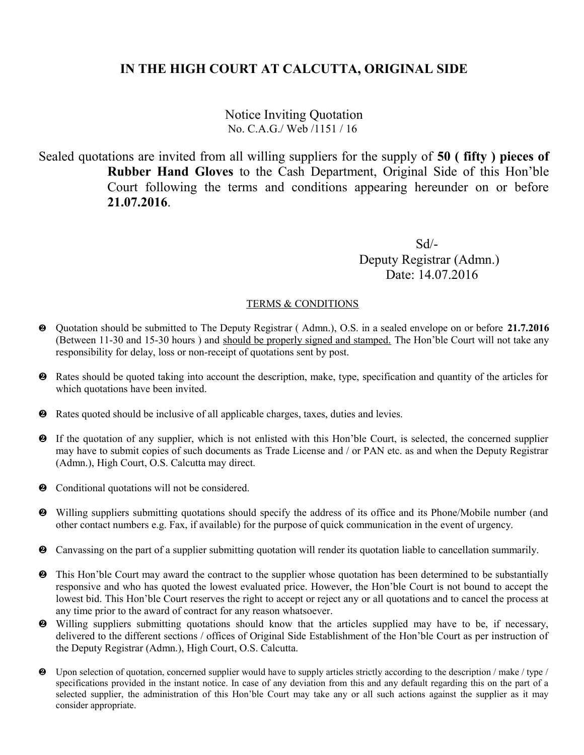Notice Inviting Quotation No. C.A.G./ Web /1151 / 16

Sealed quotations are invited from all willing suppliers for the supply of **50 ( fifty ) pieces of Rubber Hand Gloves** to the Cash Department, Original Side of this Hon'ble Court following the terms and conditions appearing hereunder on or before **21.07.2016**.

 Sd/- Deputy Registrar (Admn.) Date: 14.07.2016

- Quotation should be submitted to The Deputy Registrar ( Admn.), O.S. in a sealed envelope on or before **21.7.2016** (Between 11-30 and 15-30 hours ) and should be properly signed and stamped. The Hon'ble Court will not take any responsibility for delay, loss or non-receipt of quotations sent by post.
- Rates should be quoted taking into account the description, make, type, specification and quantity of the articles for which quotations have been invited.
- Rates quoted should be inclusive of all applicable charges, taxes, duties and levies.
- If the quotation of any supplier, which is not enlisted with this Hon'ble Court, is selected, the concerned supplier may have to submit copies of such documents as Trade License and / or PAN etc. as and when the Deputy Registrar (Admn.), High Court, O.S. Calcutta may direct.
- $\bullet$  Conditional quotations will not be considered.
- Willing suppliers submitting quotations should specify the address of its office and its Phone/Mobile number (and other contact numbers e.g. Fax, if available) for the purpose of quick communication in the event of urgency.
- Canvassing on the part of a supplier submitting quotation will render its quotation liable to cancellation summarily.
- $\bullet$  This Hon'ble Court may award the contract to the supplier whose quotation has been determined to be substantially responsive and who has quoted the lowest evaluated price. However, the Hon'ble Court is not bound to accept the lowest bid. This Hon'ble Court reserves the right to accept or reject any or all quotations and to cancel the process at any time prior to the award of contract for any reason whatsoever.
- Willing suppliers submitting quotations should know that the articles supplied may have to be, if necessary, delivered to the different sections / offices of Original Side Establishment of the Hon'ble Court as per instruction of the Deputy Registrar (Admn.), High Court, O.S. Calcutta.
- Upon selection of quotation, concerned supplier would have to supply articles strictly according to the description / make / type / specifications provided in the instant notice. In case of any deviation from this and any default regarding this on the part of a selected supplier, the administration of this Hon'ble Court may take any or all such actions against the supplier as it may consider appropriate.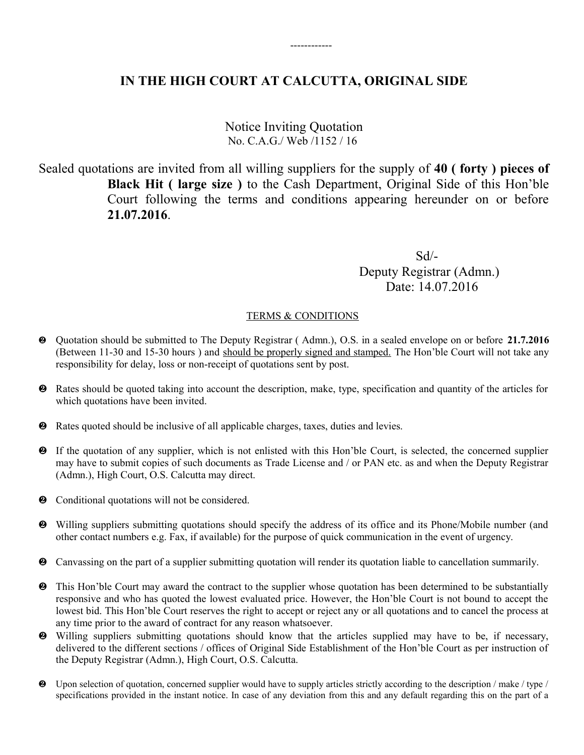------------

Notice Inviting Quotation No. C.A.G./ Web /1152 / 16

Sealed quotations are invited from all willing suppliers for the supply of **40 ( forty ) pieces of Black Hit ( large size )** to the Cash Department, Original Side of this Hon'ble Court following the terms and conditions appearing hereunder on or before **21.07.2016**.

 Sd/- Deputy Registrar (Admn.) Date: 14.07.2016

- Quotation should be submitted to The Deputy Registrar ( Admn.), O.S. in a sealed envelope on or before **21.7.2016** (Between 11-30 and 15-30 hours ) and should be properly signed and stamped. The Hon'ble Court will not take any responsibility for delay, loss or non-receipt of quotations sent by post.
- Rates should be quoted taking into account the description, make, type, specification and quantity of the articles for which quotations have been invited.
- Rates quoted should be inclusive of all applicable charges, taxes, duties and levies.
- If the quotation of any supplier, which is not enlisted with this Hon'ble Court, is selected, the concerned supplier may have to submit copies of such documents as Trade License and / or PAN etc. as and when the Deputy Registrar (Admn.), High Court, O.S. Calcutta may direct.
- $\bullet$  Conditional quotations will not be considered.
- Willing suppliers submitting quotations should specify the address of its office and its Phone/Mobile number (and other contact numbers e.g. Fax, if available) for the purpose of quick communication in the event of urgency.
- Canvassing on the part of a supplier submitting quotation will render its quotation liable to cancellation summarily.
- $\bullet$  This Hon'ble Court may award the contract to the supplier whose quotation has been determined to be substantially responsive and who has quoted the lowest evaluated price. However, the Hon'ble Court is not bound to accept the lowest bid. This Hon'ble Court reserves the right to accept or reject any or all quotations and to cancel the process at any time prior to the award of contract for any reason whatsoever.
- Willing suppliers submitting quotations should know that the articles supplied may have to be, if necessary, delivered to the different sections / offices of Original Side Establishment of the Hon'ble Court as per instruction of the Deputy Registrar (Admn.), High Court, O.S. Calcutta.
- $\bullet$  Upon selection of quotation, concerned supplier would have to supply articles strictly according to the description / make / type / specifications provided in the instant notice. In case of any deviation from this and any default regarding this on the part of a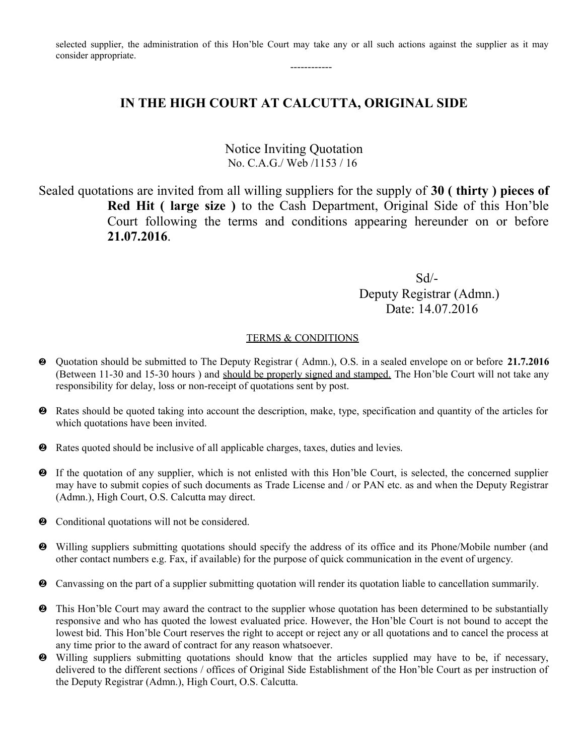selected supplier, the administration of this Hon'ble Court may take any or all such actions against the supplier as it may consider appropriate.

------------

# **IN THE HIGH COURT AT CALCUTTA, ORIGINAL SIDE**

Notice Inviting Quotation No. C.A.G./ Web /1153 / 16

Sealed quotations are invited from all willing suppliers for the supply of **30 ( thirty ) pieces of Red Hit ( large size )** to the Cash Department, Original Side of this Hon'ble Court following the terms and conditions appearing hereunder on or before **21.07.2016**.

 Sd/- Deputy Registrar (Admn.) Date: 14.07.2016

- Quotation should be submitted to The Deputy Registrar ( Admn.), O.S. in a sealed envelope on or before **21.7.2016** (Between 11-30 and 15-30 hours ) and should be properly signed and stamped. The Hon'ble Court will not take any responsibility for delay, loss or non-receipt of quotations sent by post.
- Rates should be quoted taking into account the description, make, type, specification and quantity of the articles for which quotations have been invited.
- Rates quoted should be inclusive of all applicable charges, taxes, duties and levies.
- If the quotation of any supplier, which is not enlisted with this Hon'ble Court, is selected, the concerned supplier may have to submit copies of such documents as Trade License and / or PAN etc. as and when the Deputy Registrar (Admn.), High Court, O.S. Calcutta may direct.
- $\odot$  Conditional quotations will not be considered.
- Willing suppliers submitting quotations should specify the address of its office and its Phone/Mobile number (and other contact numbers e.g. Fax, if available) for the purpose of quick communication in the event of urgency.
- Canvassing on the part of a supplier submitting quotation will render its quotation liable to cancellation summarily.
- **2** This Hon'ble Court may award the contract to the supplier whose quotation has been determined to be substantially responsive and who has quoted the lowest evaluated price. However, the Hon'ble Court is not bound to accept the lowest bid. This Hon'ble Court reserves the right to accept or reject any or all quotations and to cancel the process at any time prior to the award of contract for any reason whatsoever.
- Willing suppliers submitting quotations should know that the articles supplied may have to be, if necessary, delivered to the different sections / offices of Original Side Establishment of the Hon'ble Court as per instruction of the Deputy Registrar (Admn.), High Court, O.S. Calcutta.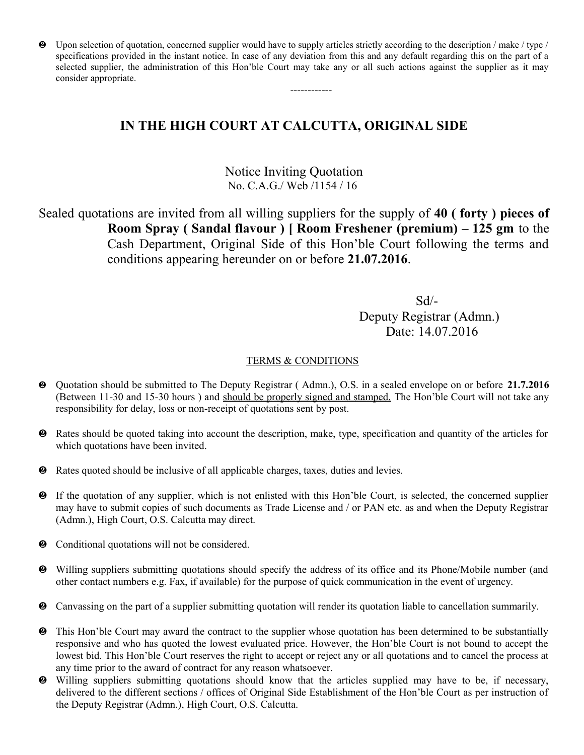$\bullet$  Upon selection of quotation, concerned supplier would have to supply articles strictly according to the description / make / type / specifications provided in the instant notice. In case of any deviation from this and any default regarding this on the part of a selected supplier, the administration of this Hon'ble Court may take any or all such actions against the supplier as it may consider appropriate.

------------

# **IN THE HIGH COURT AT CALCUTTA, ORIGINAL SIDE**

### Notice Inviting Quotation No. C.A.G./ Web /1154 / 16

Sealed quotations are invited from all willing suppliers for the supply of **40 ( forty ) pieces of Room Spray ( Sandal flavour ) [ Room Freshener (premium) – 125 gm** to the Cash Department, Original Side of this Hon'ble Court following the terms and conditions appearing hereunder on or before **21.07.2016**.

 Sd/- Deputy Registrar (Admn.) Date: 14.07.2016

- Quotation should be submitted to The Deputy Registrar ( Admn.), O.S. in a sealed envelope on or before **21.7.2016** (Between 11-30 and 15-30 hours ) and should be properly signed and stamped. The Hon'ble Court will not take any responsibility for delay, loss or non-receipt of quotations sent by post.
- Rates should be quoted taking into account the description, make, type, specification and quantity of the articles for which quotations have been invited.
- Rates quoted should be inclusive of all applicable charges, taxes, duties and levies.
- If the quotation of any supplier, which is not enlisted with this Hon'ble Court, is selected, the concerned supplier may have to submit copies of such documents as Trade License and / or PAN etc. as and when the Deputy Registrar (Admn.), High Court, O.S. Calcutta may direct.
- $\bullet$  Conditional quotations will not be considered.
- Willing suppliers submitting quotations should specify the address of its office and its Phone/Mobile number (and other contact numbers e.g. Fax, if available) for the purpose of quick communication in the event of urgency.
- Canvassing on the part of a supplier submitting quotation will render its quotation liable to cancellation summarily.
- $\bullet$  This Hon'ble Court may award the contract to the supplier whose quotation has been determined to be substantially responsive and who has quoted the lowest evaluated price. However, the Hon'ble Court is not bound to accept the lowest bid. This Hon'ble Court reserves the right to accept or reject any or all quotations and to cancel the process at any time prior to the award of contract for any reason whatsoever.
- Willing suppliers submitting quotations should know that the articles supplied may have to be, if necessary, delivered to the different sections / offices of Original Side Establishment of the Hon'ble Court as per instruction of the Deputy Registrar (Admn.), High Court, O.S. Calcutta.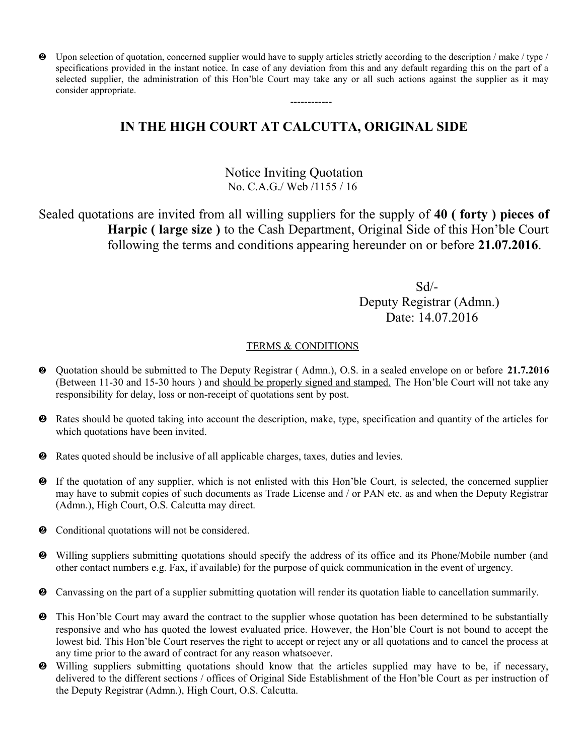Upon selection of quotation, concerned supplier would have to supply articles strictly according to the description / make / type / specifications provided in the instant notice. In case of any deviation from this and any default regarding this on the part of a selected supplier, the administration of this Hon'ble Court may take any or all such actions against the supplier as it may consider appropriate.

------------

# **IN THE HIGH COURT AT CALCUTTA, ORIGINAL SIDE**

## Notice Inviting Quotation No. C.A.G./ Web /1155 / 16

Sealed quotations are invited from all willing suppliers for the supply of **40 ( forty ) pieces of Harpic ( large size )** to the Cash Department, Original Side of this Hon'ble Court following the terms and conditions appearing hereunder on or before **21.07.2016**.

 Sd/- Deputy Registrar (Admn.) Date: 14.07.2016

- Quotation should be submitted to The Deputy Registrar ( Admn.), O.S. in a sealed envelope on or before **21.7.2016** (Between 11-30 and 15-30 hours ) and should be properly signed and stamped. The Hon'ble Court will not take any responsibility for delay, loss or non-receipt of quotations sent by post.
- Rates should be quoted taking into account the description, make, type, specification and quantity of the articles for which quotations have been invited.
- Rates quoted should be inclusive of all applicable charges, taxes, duties and levies.
- If the quotation of any supplier, which is not enlisted with this Hon'ble Court, is selected, the concerned supplier may have to submit copies of such documents as Trade License and / or PAN etc. as and when the Deputy Registrar (Admn.), High Court, O.S. Calcutta may direct.
- $\bullet$  Conditional quotations will not be considered.
- Willing suppliers submitting quotations should specify the address of its office and its Phone/Mobile number (and other contact numbers e.g. Fax, if available) for the purpose of quick communication in the event of urgency.
- Canvassing on the part of a supplier submitting quotation will render its quotation liable to cancellation summarily.
- $\bullet$  This Hon'ble Court may award the contract to the supplier whose quotation has been determined to be substantially responsive and who has quoted the lowest evaluated price. However, the Hon'ble Court is not bound to accept the lowest bid. This Hon'ble Court reserves the right to accept or reject any or all quotations and to cancel the process at any time prior to the award of contract for any reason whatsoever.
- Willing suppliers submitting quotations should know that the articles supplied may have to be, if necessary, delivered to the different sections / offices of Original Side Establishment of the Hon'ble Court as per instruction of the Deputy Registrar (Admn.), High Court, O.S. Calcutta.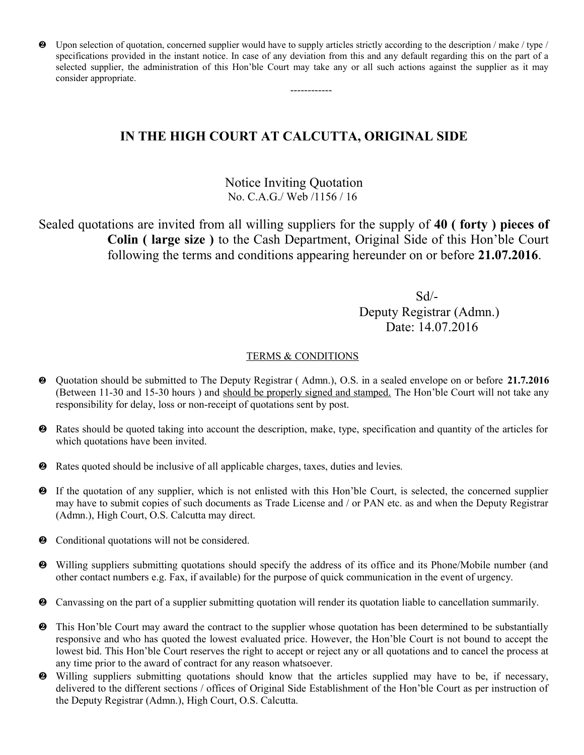$\bullet$  Upon selection of quotation, concerned supplier would have to supply articles strictly according to the description / make / type / specifications provided in the instant notice. In case of any deviation from this and any default regarding this on the part of a selected supplier, the administration of this Hon'ble Court may take any or all such actions against the supplier as it may consider appropriate.

------------

# **IN THE HIGH COURT AT CALCUTTA, ORIGINAL SIDE**

## Notice Inviting Quotation No. C.A.G./ Web /1156 / 16

Sealed quotations are invited from all willing suppliers for the supply of **40 ( forty ) pieces of Colin ( large size )** to the Cash Department, Original Side of this Hon'ble Court following the terms and conditions appearing hereunder on or before **21.07.2016**.

 Sd/- Deputy Registrar (Admn.) Date: 14.07.2016

- Quotation should be submitted to The Deputy Registrar ( Admn.), O.S. in a sealed envelope on or before **21.7.2016** (Between 11-30 and 15-30 hours ) and should be properly signed and stamped. The Hon'ble Court will not take any responsibility for delay, loss or non-receipt of quotations sent by post.
- Rates should be quoted taking into account the description, make, type, specification and quantity of the articles for which quotations have been invited.
- Rates quoted should be inclusive of all applicable charges, taxes, duties and levies.
- If the quotation of any supplier, which is not enlisted with this Hon'ble Court, is selected, the concerned supplier may have to submit copies of such documents as Trade License and / or PAN etc. as and when the Deputy Registrar (Admn.), High Court, O.S. Calcutta may direct.
- $\bullet$  Conditional quotations will not be considered.
- Willing suppliers submitting quotations should specify the address of its office and its Phone/Mobile number (and other contact numbers e.g. Fax, if available) for the purpose of quick communication in the event of urgency.
- Canvassing on the part of a supplier submitting quotation will render its quotation liable to cancellation summarily.
- $\bullet$  This Hon'ble Court may award the contract to the supplier whose quotation has been determined to be substantially responsive and who has quoted the lowest evaluated price. However, the Hon'ble Court is not bound to accept the lowest bid. This Hon'ble Court reserves the right to accept or reject any or all quotations and to cancel the process at any time prior to the award of contract for any reason whatsoever.
- Willing suppliers submitting quotations should know that the articles supplied may have to be, if necessary, delivered to the different sections / offices of Original Side Establishment of the Hon'ble Court as per instruction of the Deputy Registrar (Admn.), High Court, O.S. Calcutta.